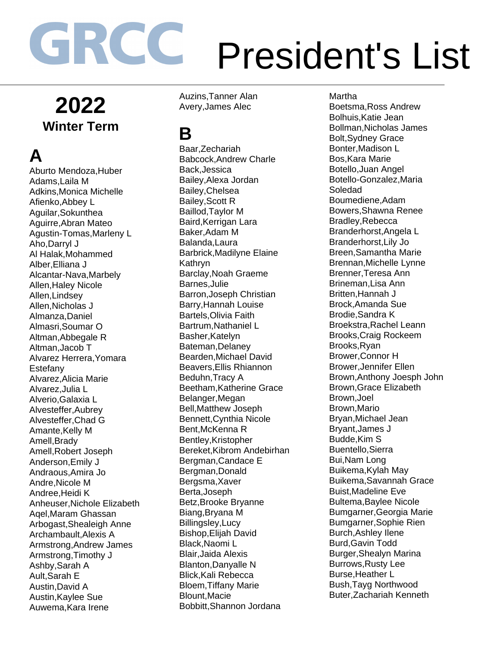**2022 Winter Term** 

**A** 

Aburto Mendoza,Huber Adams,Laila M Adkins,Monica Michelle Afienko,Abbey L Aguilar,Sokunthea Aguirre,Abran Mateo Agustin-Tomas,Marleny L Aho,Darryl J Al Halak,Mohammed Alber,Elliana J Alcantar-Nava,Marbely Allen,Haley Nicole Allen,Lindsey Allen,Nicholas J Almanza,Daniel Almasri,Soumar O Altman,Abbegale R Altman,Jacob T Alvarez Herrera,Yomara Estefany Alvarez,Alicia Marie Alvarez,Julia L Alverio,Galaxia L Alvesteffer,Aubrey Alvesteffer,Chad G Amante,Kelly M Amell,Brady Amell,Robert Joseph Anderson,Emily J Andraous,Amira Jo Andre,Nicole M Andree,Heidi K Anheuser,Nichole Elizabeth Aqel,Maram Ghassan Arbogast,Shealeigh Anne Archambault,Alexis A Armstrong,Andrew James Armstrong,Timothy J Ashby,Sarah A Ault,Sarah E Austin,David A Austin,Kaylee Sue Auwema,Kara Irene

Auzins,Tanner Alan Avery,James Alec

#### **B**

Baar,Zechariah Babcock,Andrew Charle Back,Jessica Bailey,Alexa Jordan Bailey,Chelsea Bailey,Scott R Baillod,Taylor M Baird,Kerrigan Lara Baker,Adam M Balanda,Laura Barbrick,Madilyne Elaine Kathryn Barclay,Noah Graeme Barnes,Julie Barron,Joseph Christian Barry,Hannah Louise Bartels,Olivia Faith Bartrum,Nathaniel L Basher,Katelyn Bateman,Delaney Bearden,Michael David Beavers,Ellis Rhiannon Beduhn,Tracy A Beetham,Katherine Grace Belanger,Megan Bell,Matthew Joseph Bennett,Cynthia Nicole Bent,McKenna R Bentley,Kristopher Bereket,Kibrom Andebirhan Bergman,Candace E Bergman,Donald Bergsma,Xaver Berta,Joseph Betz,Brooke Bryanne Biang,Bryana M Billingsley,Lucy Bishop,Elijah David Black,Naomi L Blair,Jaida Alexis Blanton,Danyalle N Blick,Kali Rebecca Bloem,Tiffany Marie Blount,Macie Bobbitt,Shannon Jordana

Martha Boetsma,Ross Andrew Bolhuis,Katie Jean Bollman,Nicholas James Bolt,Sydney Grace Bonter,Madison L Bos,Kara Marie Botello,Juan Angel Botello-Gonzalez,Maria Soledad Boumediene,Adam Bowers,Shawna Renee Bradley,Rebecca Branderhorst,Angela L Branderhorst,Lily Jo Breen,Samantha Marie Brennan,Michelle Lynne Brenner,Teresa Ann Brineman,Lisa Ann Britten,Hannah J Brock,Amanda Sue Brodie,Sandra K Broekstra,Rachel Leann Brooks,Craig Rockeem Brooks,Ryan Brower,Connor H Brower,Jennifer Ellen Brown,Anthony Joesph John Brown,Grace Elizabeth Brown,Joel Brown,Mario Bryan,Michael Jean Bryant,James J Budde,Kim S Buentello,Sierra Bui,Nam Long Buikema,Kylah May Buikema,Savannah Grace Buist,Madeline Eve Bultema,Baylee Nicole Bumgarner,Georgia Marie Bumgarner,Sophie Rien Burch,Ashley Ilene Burd,Gavin Todd Burger,Shealyn Marina Burrows,Rusty Lee Burse,Heather L Bush,Tayg Northwood Buter,Zachariah Kenneth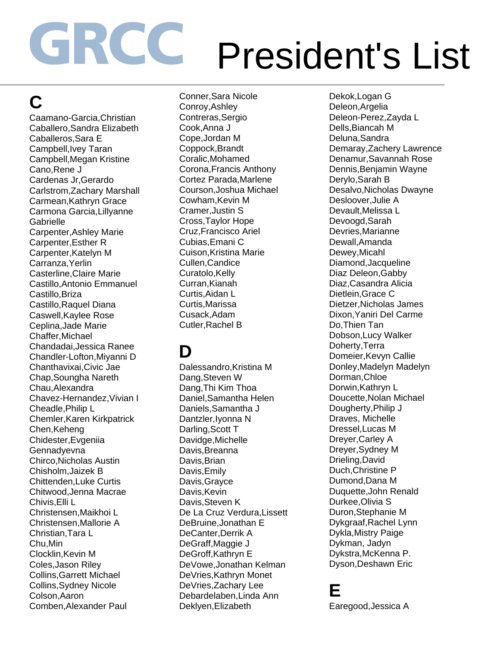### **C**

Caamano-Garcia,Christian Caballero,Sandra Elizabeth Caballeros,Sara E Campbell,Ivey Taran Campbell,Megan Kristine Cano,Rene J Cardenas Jr,Gerardo Carlstrom,Zachary Marshall Carmean,Kathryn Grace Carmona Garcia,Lillyanne Gabrielle Carpenter,Ashley Marie Carpenter,Esther R Carpenter,Katelyn M Carranza,Yerlin Casterline,Claire Marie Castillo,Antonio Emmanuel Castillo,Briza Castillo,Raquel Diana Caswell,Kaylee Rose Ceplina,Jade Marie Chaffer,Michael Chandadai,Jessica Ranee Chandler-Lofton,Miyanni D Chanthavixai,Civic Jae Chap,Soungha Nareth Chau,Alexandra Chavez-Hernandez,Vivian I Cheadle,Philip L Chemler,Karen Kirkpatrick Chen,Keheng Chidester,Evgeniia **Gennadvevna** Chirco,Nicholas Austin Chisholm,Jaizek B Chittenden,Luke Curtis Chitwood,Jenna Macrae Chivis,Elli L Christensen,Maikhoi L Christensen,Mallorie A Christian,Tara L Chu,Min Clocklin,Kevin M Coles,Jason Riley Collins,Garrett Michael Collins,Sydney Nicole Colson,Aaron Comben,Alexander Paul

Conner,Sara Nicole Conroy,Ashley Contreras,Sergio Cook,Anna J Cope,Jordan M Coppock,Brandt Coralic,Mohamed Corona,Francis Anthony Cortez Parada,Marlene Courson,Joshua Michael Cowham,Kevin M Cramer,Justin S Cross,Taylor Hope Cruz,Francisco Ariel Cubias,Emani C Cuison,Kristina Marie Cullen,Candice Curatolo, Kelly Curran,Kianah Curtis,Aidan L Curtis,Marissa Cusack,Adam Cutler,Rachel B

#### **D**

Dalessandro, Kristina M Dang,Steven W Dang,Thi Kim Thoa Daniel,Samantha Helen Daniels,Samantha J Dantzler,Iyonna N Darling,Scott T Davidge,Michelle Davis,Breanna Davis,Brian Davis,Emily Davis,Grayce Davis, Kevin Davis,Steven K De La Cruz Verdura,Lissett DeBruine,Jonathan E DeCanter,Derrik A DeGraff,Maggie J DeGroff,Kathryn E DeVowe,Jonathan Kelman DeVries,Kathryn Monet DeVries,Zachary Lee Debardelaben,Linda Ann Deklyen,Elizabeth

Dekok,Logan G Deleon,Argelia Deleon-Perez,Zayda L Dells,Biancah M Deluna,Sandra Demaray,Zachery Lawrence Denamur,Savannah Rose Dennis,Benjamin Wayne Derylo,Sarah B Desalvo,Nicholas Dwayne Desloover,Julie A Devault,Melissa L Devoogd,Sarah Devries,Marianne Dewall,Amanda Dewey,Micahl Diamond,Jacqueline Diaz Deleon,Gabby Diaz,Casandra Alicia Dietlein,Grace C Dietzer,Nicholas James Dixon,Yaniri Del Carme Do,Thien Tan Dobson,Lucy Walker Doherty,Terra Domeier,Kevyn Callie Donley,Madelyn Madelyn Dorman,Chloe Dorwin,Kathryn L Doucette,Nolan Michael Dougherty,Philip J Draves, Michelle Dressel,Lucas M Dreyer,Carley A Dreyer,Sydney M Drieling,David Duch,Christine P Dumond,Dana M Duquette,John Renald Durkee,Olivia S Duron,Stephanie M Dykgraaf,Rachel Lynn Dykla,Mistry Paige Dykman, Jadyn Dykstra,McKenna P. Dyson,Deshawn Eric

#### **E**

Earegood,Jessica A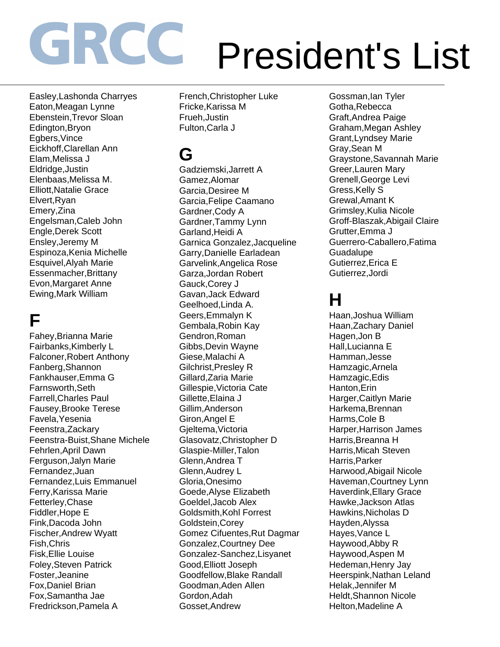Easley,Lashonda Charryes Eaton,Meagan Lynne Ebenstein,Trevor Sloan Edington,Bryon Egbers,Vince Eickhoff,Clarellan Ann Elam,Melissa J Eldridge,Justin Elenbaas,Melissa M. Elliott,Natalie Grace Elvert,Ryan Emery,Zina Engelsman,Caleb John Engle,Derek Scott Ensley,Jeremy M Espinoza,Kenia Michelle Esquivel,Alyah Marie Essenmacher,Brittany Evon,Margaret Anne Ewing,Mark William

### **F**

Fahey,Brianna Marie Fairbanks,Kimberly L Falconer,Robert Anthony Fanberg,Shannon Fankhauser,Emma G Farnsworth,Seth Farrell,Charles Paul Fausey,Brooke Terese Favela,Yesenia Feenstra,Zackary Feenstra-Buist,Shane Michele Fehrlen,April Dawn Ferguson,Jalyn Marie Fernandez,Juan Fernandez,Luis Emmanuel Ferry,Karissa Marie Fetterley,Chase Fiddler,Hope E Fink,Dacoda John Fischer,Andrew Wyatt Fish,Chris Fisk,Ellie Louise Foley,Steven Patrick Foster,Jeanine Fox,Daniel Brian Fox,Samantha Jae Fredrickson,Pamela A

French,Christopher Luke Fricke,Karissa M Frueh,Justin Fulton,Carla J

#### **G**

Gadziemski,Jarrett A Gamez,Alomar Garcia,Desiree M Garcia,Felipe Caamano Gardner,Cody A Gardner,Tammy Lynn Garland,Heidi A Garnica Gonzalez,Jacqueline Garry,Danielle Earladean Garvelink,Angelica Rose Garza,Jordan Robert Gauck,Corey J Gavan,Jack Edward Geelhoed,Linda A. Geers,Emmalyn K Gembala,Robin Kay Gendron,Roman Gibbs,Devin Wayne Giese,Malachi A Gilchrist,Presley R Gillard,Zaria Marie Gillespie,Victoria Cate Gillette,Elaina J Gillim,Anderson Giron,Angel E Gjeltema,Victoria Glasovatz,Christopher D Glaspie-Miller,Talon Glenn,Andrea T Glenn,Audrey L Gloria,Onesimo Goede,Alyse Elizabeth Goeldel,Jacob Alex Goldsmith,Kohl Forrest Goldstein,Corey Gomez Cifuentes,Rut Dagmar Gonzalez,Courtney Dee Gonzalez-Sanchez,Lisyanet Good,Elliott Joseph Goodfellow,Blake Randall Goodman,Aden Allen Gordon,Adah Gosset,Andrew

Gossman,Ian Tyler Gotha,Rebecca Graft,Andrea Paige Graham,Megan Ashley Grant,Lyndsey Marie Gray,Sean M Graystone,Savannah Marie Greer,Lauren Mary Grenell,George Levi Gress,Kelly S Grewal,Amant K Grimsley,Kulia Nicole Groff-Blaszak,Abigail Claire Grutter,Emma J Guerrero-Caballero,Fatima **Guadalupe** Gutierrez,Erica E Gutierrez,Jordi

#### **H**

Haan,Joshua William Haan,Zachary Daniel Hagen,Jon B Hall,Lucianna E Hamman,Jesse Hamzagic,Arnela Hamzagic,Edis Hanton,Erin Harger,Caitlyn Marie Harkema,Brennan Harms,Cole B Harper,Harrison James Harris,Breanna H Harris,Micah Steven Harris,Parker Harwood,Abigail Nicole Haveman,Courtney Lynn Haverdink,Ellary Grace Hawke,Jackson Atlas Hawkins,Nicholas D Hayden,Alyssa Hayes,Vance L Haywood,Abby R Haywood,Aspen M Hedeman,Henry Jay Heerspink,Nathan Leland Helak,Jennifer M Heldt,Shannon Nicole Helton,Madeline A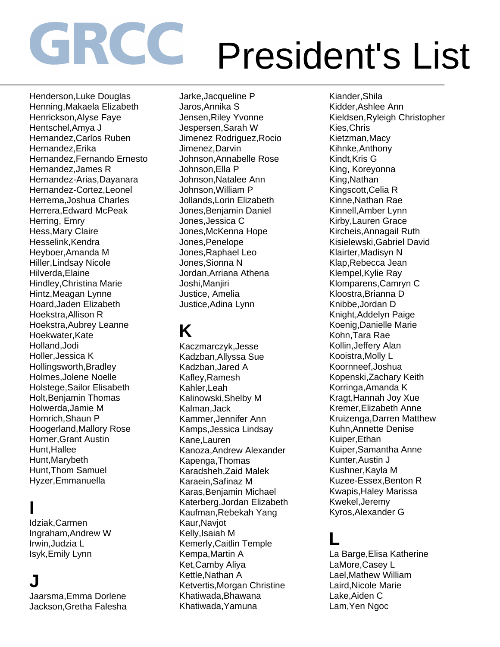Henderson,Luke Douglas Henning,Makaela Elizabeth Henrickson,Alyse Faye Hentschel,Amya J Hernandez,Carlos Ruben Hernandez,Erika Hernandez,Fernando Ernesto Hernandez,James R Hernandez-Arias,Dayanara Hernandez-Cortez,Leonel Herrema,Joshua Charles Herrera,Edward McPeak Herring, Emry Hess,Mary Claire Hesselink,Kendra Heyboer,Amanda M Hiller,Lindsay Nicole Hilverda,Elaine Hindley,Christina Marie Hintz,Meagan Lynne Hoard,Jaden Elizabeth Hoekstra,Allison R Hoekstra,Aubrey Leanne Hoekwater,Kate Holland,Jodi Holler,Jessica K Hollingsworth,Bradley Holmes,Jolene Noelle Holstege,Sailor Elisabeth Holt,Benjamin Thomas Holwerda,Jamie M Homrich,Shaun P Hoogerland,Mallory Rose Horner,Grant Austin Hunt,Hallee Hunt,Marybeth Hunt,Thom Samuel Hyzer,Emmanuella

#### **I**

Idziak,Carmen Ingraham,Andrew W Irwin,Judzia L Isyk,Emily Lynn

#### **J**

Jaarsma,Emma Dorlene Jackson,Gretha Falesha Jarke,Jacqueline P Jaros,Annika S Jensen,Riley Yvonne Jespersen,Sarah W Jimenez Rodriguez,Rocio Jimenez,Darvin Johnson,Annabelle Rose Johnson,Ella P Johnson,Natalee Ann Johnson,William P Jollands,Lorin Elizabeth Jones,Benjamin Daniel Jones,Jessica C Jones,McKenna Hope Jones,Penelope Jones,Raphael Leo Jones,Sionna N Jordan,Arriana Athena Joshi,Manjiri Justice, Amelia Justice,Adina Lynn

#### **K**

Kaczmarczyk,Jesse Kadzban,Allyssa Sue Kadzban,Jared A Kafley,Ramesh Kahler,Leah Kalinowski,Shelby M Kalman,Jack Kammer,Jennifer Ann Kamps,Jessica Lindsay Kane,Lauren Kanoza,Andrew Alexander Kapenga,Thomas Karadsheh,Zaid Malek Karaein,Safinaz M Karas,Benjamin Michael Katerberg,Jordan Elizabeth Kaufman,Rebekah Yang Kaur,Navjot Kelly,Isaiah M Kemerly,Caitlin Temple Kempa,Martin A Ket,Camby Aliya Kettle,Nathan A Ketvertis,Morgan Christine Khatiwada,Bhawana Khatiwada,Yamuna

Kiander,Shila Kidder,Ashlee Ann Kieldsen,Ryleigh Christopher Kies,Chris Kietzman,Macy Kihnke,Anthony Kindt,Kris G King, Koreyonna King,Nathan Kingscott,Celia R Kinne,Nathan Rae Kinnell,Amber Lynn Kirby,Lauren Grace Kircheis,Annagail Ruth Kisielewski,Gabriel David Klairter,Madisyn N Klap,Rebecca Jean Klempel,Kylie Ray Klomparens,Camryn C Kloostra,Brianna D Knibbe,Jordan D Knight,Addelyn Paige Koenig,Danielle Marie Kohn,Tara Rae Kollin,Jeffery Alan Kooistra,Molly L Koornneef,Joshua Kopenski,Zachary Keith Korringa,Amanda K Kragt,Hannah Joy Xue Kremer,Elizabeth Anne Kruizenga,Darren Matthew Kuhn,Annette Denise Kuiper,Ethan Kuiper,Samantha Anne Kunter,Austin J Kushner,Kayla M Kuzee-Essex,Benton R Kwapis,Haley Marissa Kwekel,Jeremy Kyros,Alexander G

#### **L**

La Barge,Elisa Katherine LaMore,Casey L Lael,Mathew William Laird,Nicole Marie Lake,Aiden C Lam,Yen Ngoc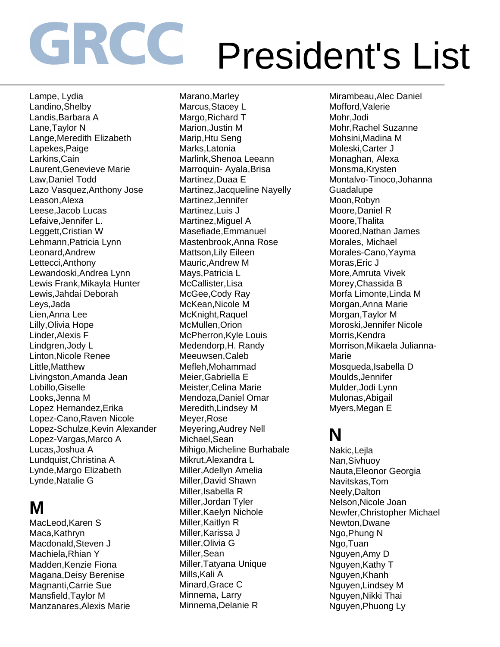Lampe, Lydia Landino,Shelby Landis,Barbara A Lane,Taylor N Lange,Meredith Elizabeth Lapekes,Paige Larkins,Cain Laurent,Genevieve Marie Law,Daniel Todd Lazo Vasquez,Anthony Jose Leason,Alexa Leese,Jacob Lucas Lefaive,Jennifer L. Leggett,Cristian W Lehmann,Patricia Lynn Leonard,Andrew Lettecci,Anthony Lewandoski,Andrea Lynn Lewis Frank,Mikayla Hunter Lewis,Jahdai Deborah Leys,Jada Lien,Anna Lee Lilly,Olivia Hope Linder,Alexis F Lindgren,Jody L Linton,Nicole Renee Little,Matthew Livingston,Amanda Jean Lobillo,Giselle Looks,Jenna M Lopez Hernandez,Erika Lopez-Cano,Raven Nicole Lopez-Schulze,Kevin Alexander Lopez-Vargas,Marco A Lucas,Joshua A Lundquist,Christina A Lynde,Margo Elizabeth Lynde,Natalie G

#### **M**

MacLeod,Karen S Maca,Kathryn Macdonald,Steven J Machiela,Rhian Y Madden,Kenzie Fiona Magana,Deisy Berenise Magnanti,Carrie Sue Mansfield,Taylor M Manzanares,Alexis Marie Marano,Marley Marcus,Stacey L Margo,Richard T Marion,Justin M Marip,Htu Seng Marks,Latonia Marlink,Shenoa Leeann Marroquin- Ayala,Brisa Martinez,Duaa E Martinez,Jacqueline Nayelly Martinez,Jennifer Martinez,Luis J Martinez,Miguel A Masefiade,Emmanuel Mastenbrook,Anna Rose Mattson,Lily Eileen Mauric,Andrew M Mays,Patricia L McCallister,Lisa McGee,Cody Ray McKean,Nicole M McKnight,Raquel McMullen,Orion McPherron,Kyle Louis Medendorp,H. Randy Meeuwsen,Caleb Mefleh,Mohammad Meier,Gabriella E Meister,Celina Marie Mendoza,Daniel Omar Meredith,Lindsey M Meyer,Rose Meyering,Audrey Nell Michael,Sean Mihigo,Micheline Burhabale Mikrut,Alexandra L Miller,Adellyn Amelia Miller,David Shawn Miller,Isabella R Miller,Jordan Tyler Miller,Kaelyn Nichole Miller,Kaitlyn R Miller,Karissa J Miller,Olivia G Miller,Sean Miller,Tatyana Unique Mills.Kali A Minard,Grace C Minnema, Larry Minnema,Delanie R

Mirambeau,Alec Daniel Mofford,Valerie Mohr,Jodi Mohr,Rachel Suzanne Mohsini,Madina M Moleski,Carter J Monaghan, Alexa Monsma,Krysten Montalvo-Tinoco,Johanna **Guadalupe** Moon,Robyn Moore,Daniel R Moore,Thalita Moored,Nathan James Morales, Michael Morales-Cano,Yayma Moras,Eric J More,Amruta Vivek Morey,Chassida B Morfa Limonte,Linda M Morgan,Anna Marie Morgan,Taylor M Moroski,Jennifer Nicole Morris, Kendra Morrison,Mikaela Julianna-Marie Mosqueda,Isabella D Moulds,Jennifer Mulder,Jodi Lynn Mulonas,Abigail Myers,Megan E

#### **N**

Nakic,Lejla Nan,Sivhuoy Nauta,Eleonor Georgia Navitskas,Tom Neely,Dalton Nelson,Nicole Joan Newfer,Christopher Michael Newton,Dwane Ngo,Phung N Ngo,Tuan Nguyen,Amy D Nguyen,Kathy T Nguyen,Khanh Nguyen,Lindsey M Nguyen,Nikki Thai Nguyen,Phuong Ly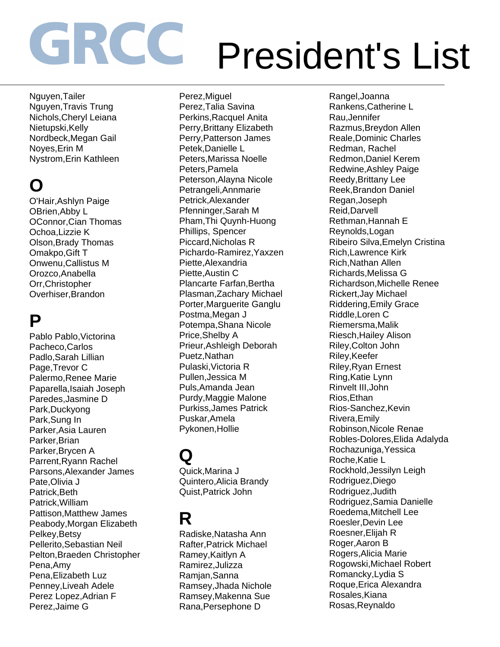Nguyen,Tailer Nguyen,Travis Trung Nichols,Cheryl Leiana Nietupski,Kelly Nordbeck,Megan Gail Noyes,Erin M Nystrom,Erin Kathleen

### **O**

O'Hair,Ashlyn Paige OBrien,Abby L OConnor,Cian Thomas Ochoa,Lizzie K Olson,Brady Thomas Omakpo,Gift T Onwenu,Callistus M Orozco,Anabella Orr,Christopher Overhiser,Brandon

#### **P**

Pablo Pablo,Victorina Pacheco,Carlos Padlo,Sarah Lillian Page,Trevor C Palermo,Renee Marie Paparella,Isaiah Joseph Paredes,Jasmine D Park,Duckyong Park,Sung In Parker,Asia Lauren Parker,Brian Parker,Brycen A Parrent,Ryann Rachel Parsons,Alexander James Pate,Olivia J Patrick,Beth Patrick,William Pattison,Matthew James Peabody,Morgan Elizabeth Pelkey,Betsy Pellerito,Sebastian Neil Pelton,Braeden Christopher Pena,Amy Pena,Elizabeth Luz Penney,Liveah Adele Perez Lopez,Adrian F Perez,Jaime G

Perez,Miguel Perez,Talia Savina Perkins,Racquel Anita Perry,Brittany Elizabeth Perry,Patterson James Petek,Danielle L Peters,Marissa Noelle Peters,Pamela Peterson,Alayna Nicole Petrangeli,Annmarie Petrick,Alexander Pfenninger,Sarah M Pham,Thi Quynh-Huong Phillips, Spencer Piccard,Nicholas R Pichardo-Ramirez,Yaxzen Piette,Alexandria Piette,Austin C Plancarte Farfan,Bertha Plasman,Zachary Michael Porter,Marguerite Ganglu Postma,Megan J Potempa,Shana Nicole Price,Shelby A Prieur,Ashleigh Deborah Puetz,Nathan Pulaski,Victoria R Pullen,Jessica M Puls,Amanda Jean Purdy,Maggie Malone Purkiss,James Patrick Puskar,Amela Pykonen,Hollie

### **Q**

Quick,Marina J Quintero,Alicia Brandy Quist,Patrick John

#### **R**

Radiske,Natasha Ann Rafter,Patrick Michael Ramey,Kaitlyn A Ramirez,Julizza Ramjan,Sanna Ramsey,Jhada Nichole Ramsey,Makenna Sue Rana,Persephone D

Rangel,Joanna Rankens,Catherine L Rau,Jennifer Razmus,Breydon Allen Reale,Dominic Charles Redman, Rachel Redmon,Daniel Kerem Redwine,Ashley Paige Reedy,Brittany Lee Reek,Brandon Daniel Regan,Joseph Reid,Darvell Rethman,Hannah E Reynolds,Logan Ribeiro Silva,Emelyn Cristina Rich,Lawrence Kirk Rich,Nathan Allen Richards,Melissa G Richardson,Michelle Renee Rickert,Jay Michael Riddering,Emily Grace Riddle,Loren C Riemersma,Malik Riesch,Hailey Alison Riley,Colton John Riley,Keefer Riley,Ryan Ernest Ring,Katie Lynn Rinvelt III,John Rios,Ethan Rios-Sanchez,Kevin Rivera,Emily Robinson,Nicole Renae Robles-Dolores,Elida Adalyda Rochazuniga,Yessica Roche,Katie L Rockhold,Jessilyn Leigh Rodriguez,Diego Rodriguez,Judith Rodriguez,Samia Danielle Roedema,Mitchell Lee Roesler,Devin Lee Roesner,Elijah R Roger,Aaron B Rogers,Alicia Marie Rogowski,Michael Robert Romancky,Lydia S Roque,Erica Alexandra Rosales,Kiana Rosas,Reynaldo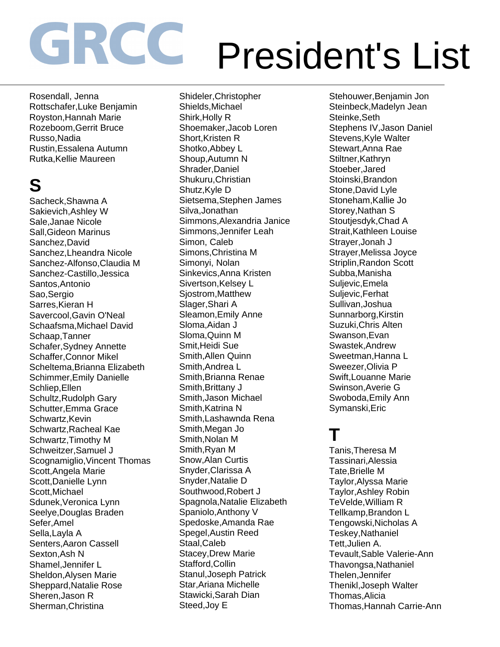Rosendall, Jenna Rottschafer,Luke Benjamin Royston,Hannah Marie Rozeboom,Gerrit Bruce Russo,Nadia Rustin,Essalena Autumn Rutka,Kellie Maureen

### **S**

Sacheck,Shawna A Sakievich,Ashley W Sale,Janae Nicole Sall,Gideon Marinus Sanchez,David Sanchez,Lheandra Nicole Sanchez-Alfonso,Claudia M Sanchez-Castillo,Jessica Santos,Antonio Sao,Sergio Sarres,Kieran H Savercool,Gavin O'Neal Schaafsma,Michael David Schaap,Tanner Schafer,Sydney Annette Schaffer,Connor Mikel Scheltema,Brianna Elizabeth Schimmer,Emily Danielle Schliep,Ellen Schultz,Rudolph Gary Schutter,Emma Grace Schwartz, Kevin Schwartz,Racheal Kae Schwartz,Timothy M Schweitzer,Samuel J Scognamiglio,Vincent Thomas Scott,Angela Marie Scott,Danielle Lynn Scott,Michael Sdunek,Veronica Lynn Seelye,Douglas Braden Sefer,Amel Sella,Layla A Senters,Aaron Cassell Sexton,Ash N Shamel,Jennifer L Sheldon,Alysen Marie Sheppard,Natalie Rose Sheren,Jason R Sherman,Christina

Shideler,Christopher Shields,Michael Shirk,Holly R Shoemaker,Jacob Loren Short, Kristen R Shotko,Abbey L Shoup,Autumn N Shrader,Daniel Shukuru,Christian Shutz, Kyle D Sietsema,Stephen James Silva,Jonathan Simmons,Alexandria Janice Simmons,Jennifer Leah Simon, Caleb Simons,Christina M Simonyi, Nolan Sinkevics,Anna Kristen Sivertson,Kelsey L Sjostrom,Matthew Slager,Shari A Sleamon,Emily Anne Sloma,Aidan J Sloma,Quinn M Smit,Heidi Sue Smith,Allen Quinn Smith,Andrea L Smith,Brianna Renae Smith,Brittany J Smith,Jason Michael Smith, Katrina N Smith,Lashawnda Rena Smith,Megan Jo Smith,Nolan M Smith,Ryan M Snow,Alan Curtis Snyder,Clarissa A Snyder,Natalie D Southwood,Robert J Spagnola,Natalie Elizabeth Spaniolo,Anthony V Spedoske,Amanda Rae Spegel,Austin Reed Staal,Caleb Stacey,Drew Marie Stafford,Collin Stanul,Joseph Patrick Star,Ariana Michelle Stawicki,Sarah Dian Steed,Joy E

Stehouwer,Benjamin Jon Steinbeck,Madelyn Jean Steinke,Seth Stephens IV,Jason Daniel Stevens,Kyle Walter Stewart,Anna Rae Stiltner,Kathryn Stoeber,Jared Stoinski,Brandon Stone,David Lyle Stoneham,Kallie Jo Storey,Nathan S Stoutiesdyk, Chad A Strait,Kathleen Louise Strayer,Jonah J Strayer,Melissa Joyce Striplin,Randon Scott Subba,Manisha Suljevic,Emela Suljevic,Ferhat Sullivan,Joshua Sunnarborg,Kirstin Suzuki,Chris Alten Swanson,Evan Swastek,Andrew Sweetman,Hanna L Sweezer,Olivia P Swift,Louanne Marie Swinson,Averie G Swoboda,Emily Ann Symanski,Eric

#### **T**

Tanis,Theresa M Tassinari,Alessia Tate,Brielle M Taylor,Alyssa Marie Taylor,Ashley Robin TeVelde,William R Tellkamp,Brandon L Tengowski,Nicholas A Teskey,Nathaniel Tett,Julien A. Tevault,Sable Valerie-Ann Thavongsa,Nathaniel Thelen,Jennifer Thenikl,Joseph Walter Thomas,Alicia Thomas,Hannah Carrie-Ann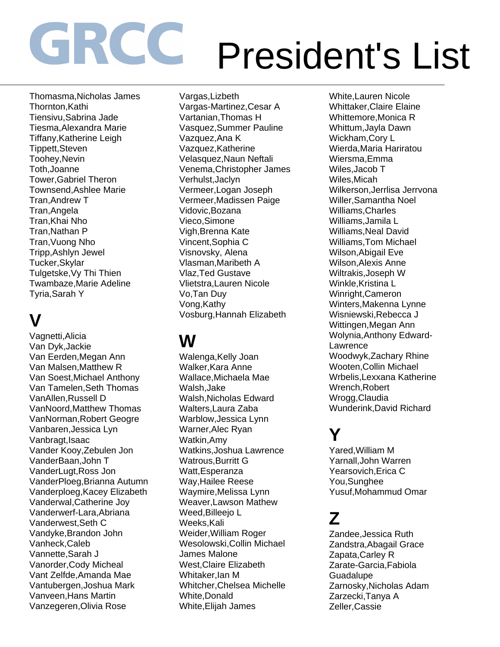Thomasma,Nicholas James Thornton,Kathi Tiensivu,Sabrina Jade Tiesma,Alexandra Marie Tiffany,Katherine Leigh Tippett,Steven Toohey,Nevin Toth,Joanne Tower,Gabriel Theron Townsend,Ashlee Marie Tran,Andrew T Tran,Angela Tran,Khai Nho Tran,Nathan P Tran,Vuong Nho Tripp,Ashlyn Jewel Tucker,Skylar Tulgetske,Vy Thi Thien Twambaze,Marie Adeline Tyria,Sarah Y

### **V**

Vagnetti,Alicia Van Dyk,Jackie Van Eerden,Megan Ann Van Malsen,Matthew R Van Soest,Michael Anthony Van Tamelen,Seth Thomas VanAllen,Russell D VanNoord,Matthew Thomas VanNorman,Robert Geogre Vanbaren,Jessica Lyn Vanbragt,Isaac Vander Kooy,Zebulen Jon VanderBaan,John T VanderLugt,Ross Jon VanderPloeg,Brianna Autumn Vanderploeg,Kacey Elizabeth Vanderwal,Catherine Joy Vanderwerf-Lara,Abriana Vanderwest,Seth C Vandyke,Brandon John Vanheck,Caleb Vannette,Sarah J Vanorder,Cody Micheal Vant Zelfde,Amanda Mae Vantubergen,Joshua Mark Vanveen,Hans Martin Vanzegeren,Olivia Rose

Vargas,Lizbeth Vargas-Martinez,Cesar A Vartanian,Thomas H Vasquez,Summer Pauline Vazquez,Ana K Vazquez,Katherine Velasquez,Naun Neftali Venema,Christopher James Verhulst,Jaclyn Vermeer,Logan Joseph Vermeer,Madissen Paige Vidovic,Bozana Vieco,Simone Vigh,Brenna Kate Vincent,Sophia C Visnovsky, Alena Vlasman,Maribeth A Vlaz,Ted Gustave Vlietstra,Lauren Nicole Vo,Tan Duy Vong,Kathy Vosburg,Hannah Elizabeth

### **W**

Walenga,Kelly Joan Walker,Kara Anne Wallace,Michaela Mae Walsh,Jake Walsh,Nicholas Edward Walters,Laura Zaba Warblow,Jessica Lynn Warner,Alec Ryan Watkin,Amy Watkins,Joshua Lawrence Watrous, Burritt G Watt,Esperanza Way,Hailee Reese Waymire,Melissa Lynn Weaver,Lawson Mathew Weed,Billeejo L Weeks,Kali Weider,William Roger Wesolowski,Collin Michael James Malone West,Claire Elizabeth Whitaker,Ian M Whitcher,Chelsea Michelle White,Donald White,Elijah James

White,Lauren Nicole Whittaker,Claire Elaine Whittemore,Monica R Whittum,Jayla Dawn Wickham,Cory L Wierda,Maria Hariratou Wiersma,Emma Wiles,Jacob T Wiles,Micah Wilkerson,Jerrlisa Jerrvona Willer,Samantha Noel Williams,Charles Williams,Jamila L Williams,Neal David Williams,Tom Michael Wilson,Abigail Eve Wilson,Alexis Anne Wiltrakis,Joseph W Winkle,Kristina L Winright,Cameron Winters,Makenna Lynne Wisniewski,Rebecca J Wittingen,Megan Ann Wolynia,Anthony Edward-**Lawrence** Woodwyk,Zachary Rhine Wooten,Collin Michael Wrbelis,Lexxana Katherine Wrench,Robert Wrogg,Claudia Wunderink,David Richard

#### **Y**

Yared,William M Yarnall,John Warren Yearsovich,Erica C You,Sunghee Yusuf,Mohammud Omar

### **Z**

Zandee,Jessica Ruth Zandstra,Abagail Grace Zapata,Carley R Zarate-Garcia,Fabiola **Guadalupe** Zarnosky,Nicholas Adam Zarzecki,Tanya A Zeller,Cassie